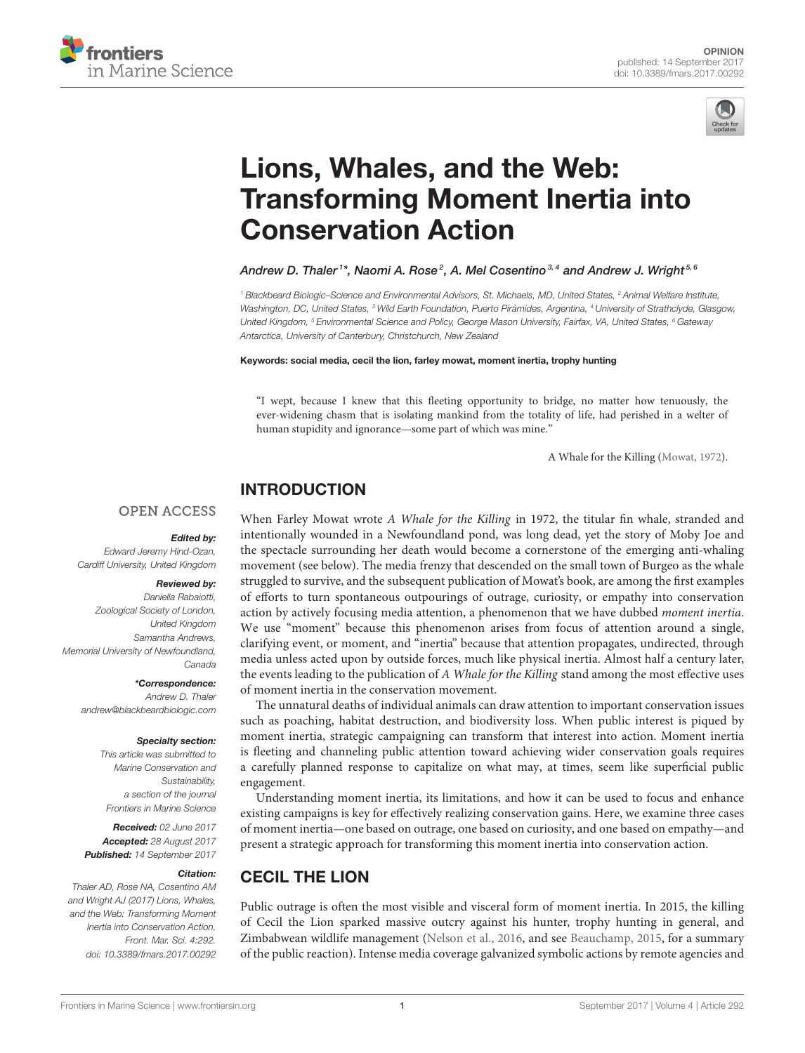



# Lions, Whales, and the Web: [Transforming Moment Inertia into](http://journal.frontiersin.org/article/10.3389/fmars.2017.00292/full) Conservation Action

#### [Andrew D. Thaler](http://loop.frontiersin.org/people/239377/overview)<sup>1\*</sup>, [Naomi A. Rose](http://loop.frontiersin.org/people/189623/overview)<sup>2</sup>, [A. Mel Cosentino](http://loop.frontiersin.org/people/305629/overview)3,4 and [Andrew J. Wright](http://loop.frontiersin.org/people/189653/overview)<sup>5,6</sup>

<sup>1</sup> Blackbeard Biologic–Science and Environmental Advisors, St. Michaels, MD, United States, <sup>2</sup> Animal Welfare Institute, Washington, DC, United States, <sup>3</sup> Wild Earth Foundation, Puerto Pirámides, Argentina, <sup>4</sup> University of Strathclyde, Glasgow, United Kingdom, <sup>5</sup> Environmental Science and Policy, George Mason University, Fairfax, VA, United States, <sup>6</sup> Gateway Antarctica, University of Canterbury, Christchurch, New Zealand

#### Keywords: social media, cecil the lion, farley mowat, moment inertia, trophy hunting

"I wept, because I knew that this fleeting opportunity to bridge, no matter how tenuously, the ever-widening chasm that is isolating mankind from the totality of life, had perished in a welter of human stupidity and ignorance—some part of which was mine."

A Whale for the Killing [\(Mowat, 1972\)](#page-3-0).

### INTRODUCTION

#### **OPEN ACCESS**

#### Edited by:

Edward Jeremy Hind-Ozan, Cardiff University, United Kingdom

#### Reviewed by:

Daniella Rabaiotti, Zoological Society of London, United Kingdom Samantha Andrews, Memorial University of Newfoundland, Canada

\*Correspondence:

Andrew D. Thaler [andrew@blackbeardbiologic.com](mailto:andrew@blackbeardbiologic.com)

#### Specialty section:

This article was submitted to Marine Conservation and Sustainability, a section of the journal Frontiers in Marine Science

Received: 02 June 2017 Accepted: 28 August 2017 Published: 14 September 2017

#### Citation:

Thaler AD, Rose NA, Cosentino AM and Wright AJ (2017) Lions, Whales, and the Web: Transforming Moment Inertia into Conservation Action. Front. Mar. Sci. 4:292. doi: [10.3389/fmars.2017.00292](https://doi.org/10.3389/fmars.2017.00292)

When Farley Mowat wrote A Whale for the Killing in 1972, the titular fin whale, stranded and intentionally wounded in a Newfoundland pond, was long dead, yet the story of Moby Joe and the spectacle surrounding her death would become a cornerstone of the emerging anti-whaling movement (see below). The media frenzy that descended on the small town of Burgeo as the whale struggled to survive, and the subsequent publication of Mowat's book, are among the first examples of efforts to turn spontaneous outpourings of outrage, curiosity, or empathy into conservation action by actively focusing media attention, a phenomenon that we have dubbed moment inertia. We use "moment" because this phenomenon arises from focus of attention around a single, clarifying event, or moment, and "inertia" because that attention propagates, undirected, through media unless acted upon by outside forces, much like physical inertia. Almost half a century later, the events leading to the publication of A Whale for the Killing stand among the most effective uses of moment inertia in the conservation movement.

The unnatural deaths of individual animals can draw attention to important conservation issues such as poaching, habitat destruction, and biodiversity loss. When public interest is piqued by moment inertia, strategic campaigning can transform that interest into action. Moment inertia is fleeting and channeling public attention toward achieving wider conservation goals requires a carefully planned response to capitalize on what may, at times, seem like superficial public engagement.

Understanding moment inertia, its limitations, and how it can be used to focus and enhance existing campaigns is key for effectively realizing conservation gains. Here, we examine three cases of moment inertia—one based on outrage, one based on curiosity, and one based on empathy—and present a strategic approach for transforming this moment inertia into conservation action.

# CECIL THE LION

Public outrage is often the most visible and visceral form of moment inertia. In 2015, the killing of Cecil the Lion sparked massive outcry against his hunter, trophy hunting in general, and Zimbabwean wildlife management [\(Nelson et al., 2016,](#page-3-1) and see [Beauchamp, 2015,](#page-3-2) for a summary of the public reaction). Intense media coverage galvanized symbolic actions by remote agencies and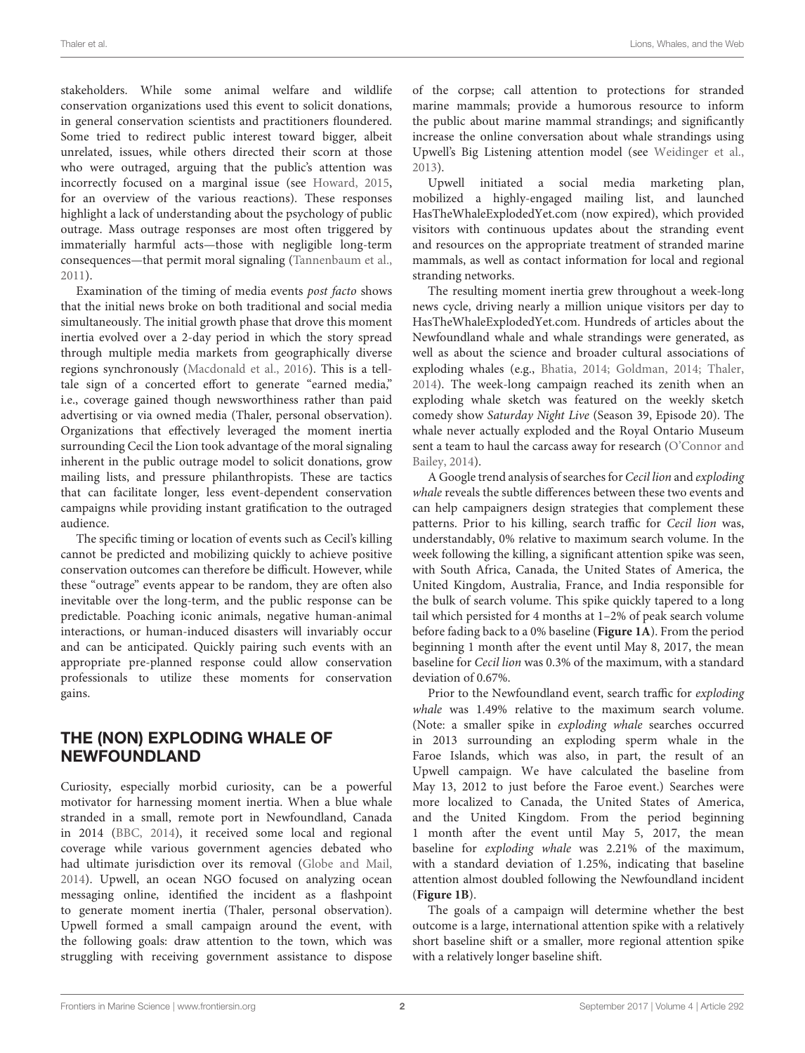stakeholders. While some animal welfare and wildlife conservation organizations used this event to solicit donations, in general conservation scientists and practitioners floundered. Some tried to redirect public interest toward bigger, albeit unrelated, issues, while others directed their scorn at those who were outraged, arguing that the public's attention was incorrectly focused on a marginal issue (see [Howard, 2015,](#page-3-3) for an overview of the various reactions). These responses highlight a lack of understanding about the psychology of public outrage. Mass outrage responses are most often triggered by immaterially harmful acts—those with negligible long-term consequences—that permit moral signaling [\(Tannenbaum et al.,](#page-3-4) [2011\)](#page-3-4).

Examination of the timing of media events post facto shows that the initial news broke on both traditional and social media simultaneously. The initial growth phase that drove this moment inertia evolved over a 2-day period in which the story spread through multiple media markets from geographically diverse regions synchronously [\(Macdonald et al., 2016\)](#page-3-5). This is a telltale sign of a concerted effort to generate "earned media," i.e., coverage gained though newsworthiness rather than paid advertising or via owned media (Thaler, personal observation). Organizations that effectively leveraged the moment inertia surrounding Cecil the Lion took advantage of the moral signaling inherent in the public outrage model to solicit donations, grow mailing lists, and pressure philanthropists. These are tactics that can facilitate longer, less event-dependent conservation campaigns while providing instant gratification to the outraged audience.

The specific timing or location of events such as Cecil's killing cannot be predicted and mobilizing quickly to achieve positive conservation outcomes can therefore be difficult. However, while these "outrage" events appear to be random, they are often also inevitable over the long-term, and the public response can be predictable. Poaching iconic animals, negative human-animal interactions, or human-induced disasters will invariably occur and can be anticipated. Quickly pairing such events with an appropriate pre-planned response could allow conservation professionals to utilize these moments for conservation gains.

# THE (NON) EXPLODING WHALE OF NEWFOUNDLAND

Curiosity, especially morbid curiosity, can be a powerful motivator for harnessing moment inertia. When a blue whale stranded in a small, remote port in Newfoundland, Canada in 2014 [\(BBC, 2014\)](#page-3-6), it received some local and regional coverage while various government agencies debated who had ultimate jurisdiction over its removal [\(Globe and Mail,](#page-3-7) [2014\)](#page-3-7). Upwell, an ocean NGO focused on analyzing ocean messaging online, identified the incident as a flashpoint to generate moment inertia (Thaler, personal observation). Upwell formed a small campaign around the event, with the following goals: draw attention to the town, which was struggling with receiving government assistance to dispose of the corpse; call attention to protections for stranded marine mammals; provide a humorous resource to inform the public about marine mammal strandings; and significantly increase the online conversation about whale strandings using Upwell's Big Listening attention model (see [Weidinger et al.,](#page-3-8) [2013\)](#page-3-8).

Upwell initiated a social media marketing plan, mobilized a highly-engaged mailing list, and launched HasTheWhaleExplodedYet.com (now expired), which provided visitors with continuous updates about the stranding event and resources on the appropriate treatment of stranded marine mammals, as well as contact information for local and regional stranding networks.

The resulting moment inertia grew throughout a week-long news cycle, driving nearly a million unique visitors per day to HasTheWhaleExplodedYet.com. Hundreds of articles about the Newfoundland whale and whale strandings were generated, as well as about the science and broader cultural associations of exploding whales (e.g., [Bhatia, 2014;](#page-3-9) [Goldman, 2014;](#page-3-10) [Thaler,](#page-3-11) [2014\)](#page-3-11). The week-long campaign reached its zenith when an exploding whale sketch was featured on the weekly sketch comedy show Saturday Night Live (Season 39, Episode 20). The whale never actually exploded and the Royal Ontario Museum sent a team to haul the carcass away for research (O'Connor and Bailey, [2014\)](#page-3-12).

A Google trend analysis of searches for Cecil lion and exploding whale reveals the subtle differences between these two events and can help campaigners design strategies that complement these patterns. Prior to his killing, search traffic for Cecil lion was, understandably, 0% relative to maximum search volume. In the week following the killing, a significant attention spike was seen, with South Africa, Canada, the United States of America, the United Kingdom, Australia, France, and India responsible for the bulk of search volume. This spike quickly tapered to a long tail which persisted for 4 months at 1–2% of peak search volume before fading back to a 0% baseline (**[Figure 1A](#page-2-0)**). From the period beginning 1 month after the event until May 8, 2017, the mean baseline for Cecil lion was 0.3% of the maximum, with a standard deviation of 0.67%.

Prior to the Newfoundland event, search traffic for exploding whale was 1.49% relative to the maximum search volume. (Note: a smaller spike in exploding whale searches occurred in 2013 surrounding an exploding sperm whale in the Faroe Islands, which was also, in part, the result of an Upwell campaign. We have calculated the baseline from May 13, 2012 to just before the Faroe event.) Searches were more localized to Canada, the United States of America, and the United Kingdom. From the period beginning 1 month after the event until May 5, 2017, the mean baseline for exploding whale was 2.21% of the maximum, with a standard deviation of 1.25%, indicating that baseline attention almost doubled following the Newfoundland incident (**[Figure 1B](#page-2-0)**).

The goals of a campaign will determine whether the best outcome is a large, international attention spike with a relatively short baseline shift or a smaller, more regional attention spike with a relatively longer baseline shift.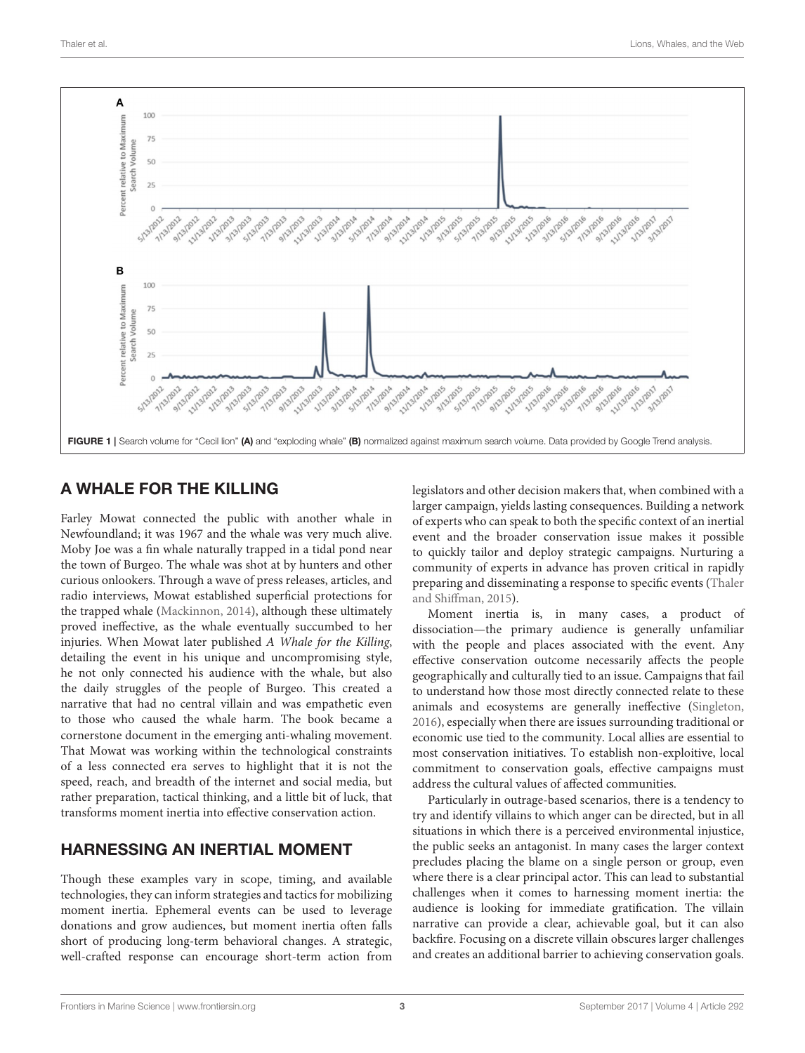

# <span id="page-2-0"></span>A WHALE FOR THE KILLING

Farley Mowat connected the public with another whale in Newfoundland; it was 1967 and the whale was very much alive. Moby Joe was a fin whale naturally trapped in a tidal pond near the town of Burgeo. The whale was shot at by hunters and other curious onlookers. Through a wave of press releases, articles, and radio interviews, Mowat established superficial protections for the trapped whale [\(Mackinnon, 2014\)](#page-3-13), although these ultimately proved ineffective, as the whale eventually succumbed to her injuries. When Mowat later published A Whale for the Killing, detailing the event in his unique and uncompromising style, he not only connected his audience with the whale, but also the daily struggles of the people of Burgeo. This created a narrative that had no central villain and was empathetic even to those who caused the whale harm. The book became a cornerstone document in the emerging anti-whaling movement. That Mowat was working within the technological constraints of a less connected era serves to highlight that it is not the speed, reach, and breadth of the internet and social media, but rather preparation, tactical thinking, and a little bit of luck, that transforms moment inertia into effective conservation action.

# HARNESSING AN INERTIAL MOMENT

Though these examples vary in scope, timing, and available technologies, they can inform strategies and tactics for mobilizing moment inertia. Ephemeral events can be used to leverage donations and grow audiences, but moment inertia often falls short of producing long-term behavioral changes. A strategic, well-crafted response can encourage short-term action from legislators and other decision makers that, when combined with a larger campaign, yields lasting consequences. Building a network of experts who can speak to both the specific context of an inertial event and the broader conservation issue makes it possible to quickly tailor and deploy strategic campaigns. Nurturing a community of experts in advance has proven critical in rapidly preparing and disseminating a response to specific events (Thaler and Shiffman, [2015\)](#page-3-14).

Moment inertia is, in many cases, a product of dissociation—the primary audience is generally unfamiliar with the people and places associated with the event. Any effective conservation outcome necessarily affects the people geographically and culturally tied to an issue. Campaigns that fail to understand how those most directly connected relate to these animals and ecosystems are generally ineffective [\(Singleton,](#page-3-15) [2016\)](#page-3-15), especially when there are issues surrounding traditional or economic use tied to the community. Local allies are essential to most conservation initiatives. To establish non-exploitive, local commitment to conservation goals, effective campaigns must address the cultural values of affected communities.

Particularly in outrage-based scenarios, there is a tendency to try and identify villains to which anger can be directed, but in all situations in which there is a perceived environmental injustice, the public seeks an antagonist. In many cases the larger context precludes placing the blame on a single person or group, even where there is a clear principal actor. This can lead to substantial challenges when it comes to harnessing moment inertia: the audience is looking for immediate gratification. The villain narrative can provide a clear, achievable goal, but it can also backfire. Focusing on a discrete villain obscures larger challenges and creates an additional barrier to achieving conservation goals.